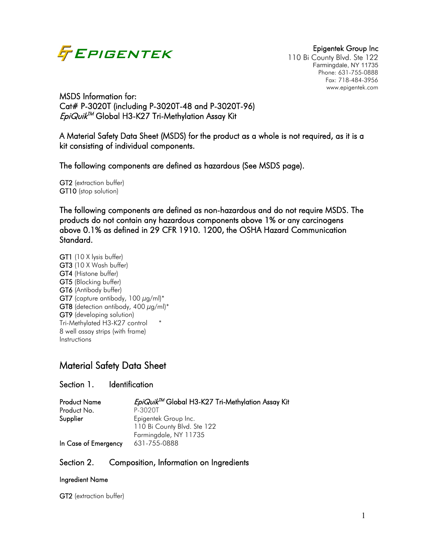

110 Bi County Blvd. Ste 122 Farmingdale, NY 11735 Phone: 631-755-0888 Fax: 718-484-3956 www.epigentek.com

MSDS Information for: Cat# P-3020T (including P-3020T-48 and P-3020T-96)  $EpiQ\omega i k^{TM}$  Global H3-K27 Tri-Methylation Assay Kit

A Material Safety Data Sheet (MSDS) for the product as a whole is not required, as it is a kit consisting of individual components.

The following components are defined as hazardous (See MSDS page).

GT2 (extraction buffer) GT10 (stop solution)

The following components are defined as non-hazardous and do not require MSDS. The products do not contain any hazardous components above 1% or any carcinogens above 0.1% as defined in 29 CFR 1910. 1200, the OSHA Hazard Communication Standard.

GT1 (10 X lysis buffer) GT3 (10 X Wash buffer) GT4 (Histone buffer) GT5 (Blocking buffer) GT6 (Antibody buffer) GT7 (capture antibody,  $100 \mu g/ml$ <sup>\*</sup> GT8 (detection antibody, 400  $\mu$ g/ml)\* GT9 (developing solution) Tri-Methylated H3-K27 control \* 8 well assay strips (with frame) Instructions

# Material Safety Data Sheet

### Section 1. Identification

| <b>Product Name</b>  | EpiQuik™ Global H3-K27 Tri-Methylation Assay Kit |
|----------------------|--------------------------------------------------|
| Product No.          | P-3020T                                          |
| Supplier             | Epigentek Group Inc.                             |
|                      | 110 Bi County Blvd. Ste 122                      |
|                      | Farmingdale, NY 11735                            |
| In Case of Emergency | 631-755-0888                                     |

### Section 2. Composition, Information on Ingredients

### Ingredient Name

GT2 (extraction buffer)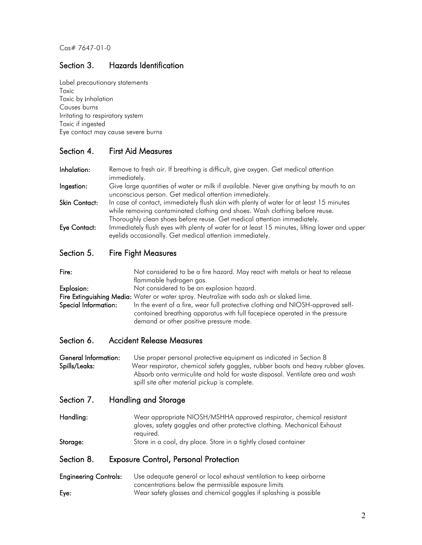## Section 3. Hazards Identification

Label precautionary statements Toxic Toxic by inhalation Causes burns Irritating to respiratory system Toxic if ingested Eye contact may cause severe burns

### Section 4. First Aid Measures

Inhalation: Remove to fresh air. If breathing is difficult, give oxygen. Get medical attention immediately. **Ingestion:** Give large quantities of water or milk if available. Never give anything by mouth to an unconscious person. Get medical attention immediately. Skin Contact: In case of contact, immediately flush skin with plenty of water for at least 15 minutes while removing contaminated clothing and shoes. Wash clothing before reuse. Thoroughly clean shoes before reuse. Get medical attention immediately. Eye Contact: Immediately flush eyes with plenty of water for at least 15 minutes, lifting lower and upper eyelids occasionally. Get medical attention immediately.

### Section 5. Fire Fight Measures

| Fire:                | Not considered to be a fire hazard. May react with metals or heat to release                                                                                                                            |
|----------------------|---------------------------------------------------------------------------------------------------------------------------------------------------------------------------------------------------------|
|                      | flammable hydrogen gas.                                                                                                                                                                                 |
| Explosion:           | Not considered to be an explosion hazard.                                                                                                                                                               |
|                      | Fire Extinguishing Media: Water or water spray. Neutralize with soda ash or slaked lime.                                                                                                                |
| Special Information: | In the event of a fire, wear full protective clothing and NIOSH-approved self-<br>contained breathing apparatus with full facepiece operated in the pressure<br>demand or other positive pressure mode. |

### Section 6. Accident Release Measures

General Information: Use proper personal protective equipment as indicated in Section 8 Spills/Leaks: Wear respirator, chemical safety goggles, rubber boots and heavy rubber gloves. Absorb onto vermiculite and hold for waste disposal. Ventilate area and wash spill site after material pickup is complete.

### Section 7. Handling and Storage

Handling: Wear appropriate NIOSH/MSHHA approved respirator, chemical resistant gloves, safety goggles and other protective clothing. Mechanical Exhaust required.

Storage: Store in a cool, dry place. Store in a tightly closed container

### Section 8. Exposure Control, Personal Protection

#### Engineering Controls: Use adequate general or local exhaust ventilation to keep airborne concentrations below the permissible exposure limits Eye: Wear safety glasses and chemical goggles if splashing is possible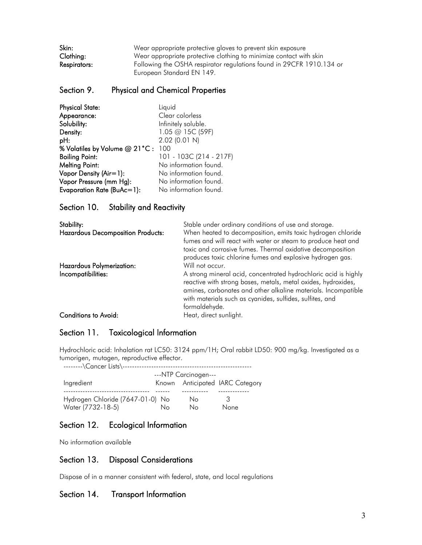| Skin:        | Wear appropriate protective gloves to prevent skin exposure          |
|--------------|----------------------------------------------------------------------|
| Clothing:    | Wear appropriate protective clothing to minimize contact with skin   |
| Respirators: | Following the OSHA respirator regulations found in 29CFR 1910.134 or |
|              | European Standard EN 149.                                            |

### Section 9. Physical and Chemical Properties

| <b>Physical State:</b>            | Liquid                  |
|-----------------------------------|-------------------------|
| Appearance:                       | Clear colorless         |
| Solubility:                       | Infinitely soluble.     |
| Density:                          | 1.05 @ 15C (59F)        |
| pH:                               | 2.02 (0.01 N)           |
| % Volatiles by Volume @ 21°C: 100 |                         |
| <b>Boiling Point:</b>             | 101 - 103C (214 - 217F) |
| <b>Melting Point:</b>             | No information found.   |
| Vapor Density (Air=1):            | No information found.   |
| Vapor Pressure (mm Hg):           | No information found.   |
| Evaporation Rate (BuAc=1):        | No information found.   |

### Section 10. Stability and Reactivity

| Stability:                               | Stable under ordinary conditions of use and storage.                                                                                                                                                                                                                           |
|------------------------------------------|--------------------------------------------------------------------------------------------------------------------------------------------------------------------------------------------------------------------------------------------------------------------------------|
| <b>Hazardous Decomposition Products:</b> | When heated to decomposition, emits toxic hydrogen chloride<br>fumes and will react with water or steam to produce heat and<br>toxic and corrosive fumes. Thermal oxidative decomposition<br>produces toxic chlorine fumes and explosive hydrogen gas.                         |
| Hazardous Polymerization:                | Will not occur.                                                                                                                                                                                                                                                                |
| Incompatibilities:                       | A strong mineral acid, concentrated hydrochloric acid is highly<br>reactive with strong bases, metals, metal oxides, hydroxides,<br>amines, carbonates and other alkaline materials. Incompatible<br>with materials such as cyanides, sulfides, sulfites, and<br>formaldehyde. |
| <b>Conditions to Avoid:</b>              | Heat, direct sunlight.                                                                                                                                                                                                                                                         |

### Section 11. Toxicological Information

Hydrochloric acid: Inhalation rat LC50: 3124 ppm/1H; Oral rabbit LD50: 900 mg/kg. Investigated as a tumorigen, mutagen, reproductive effector.

| --------\Cancer Lists\--         |                      |    |                                 |  |
|----------------------------------|----------------------|----|---------------------------------|--|
|                                  | ---NTP Carcinogen--- |    |                                 |  |
| Ingredient                       |                      |    | Known Anticipated IARC Category |  |
|                                  |                      |    |                                 |  |
| Hydrogen Chloride (7647-01-0) No |                      | No | З                               |  |
| Water (7732-18-5)                | Nο                   | Nο | <b>None</b>                     |  |

### Section 12. Ecological Information

No information available

### Section 13. Disposal Considerations

Dispose of in a manner consistent with federal, state, and local regulations

### Section 14. Transport Information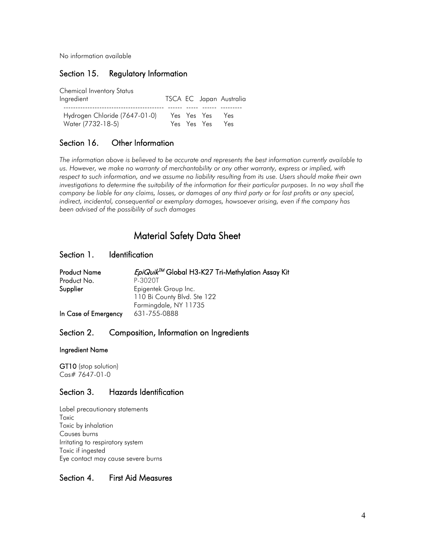No information available

### Section 15. Regulatory Information

| <b>Chemical Inventory Status</b> |  |             |                         |
|----------------------------------|--|-------------|-------------------------|
| Ingredient                       |  |             | TSCA EC Japan Australia |
|                                  |  |             |                         |
| Hydrogen Chloride (7647-01-0)    |  | Yes Yes Yes | Yes                     |
| Water (7732-18-5)                |  | Yes Yes Yes | Yes                     |

### Section 16. Other Information

*The information above is believed to be accurate and represents the best information currently available to us. However, we make no warranty of merchantability or any other warranty, express or implied, with respect to such information, and we assume no liability resulting from its use. Users should make their own investigations to determine the suitability of the information for their particular purposes. In no way shall the company be liable for any claims, losses, or damages of any third party or for lost profits or any special, indirect, incidental, consequential or exemplary damages, howsoever arising, even if the company has been advised of the possibility of such damages*

# Material Safety Data Sheet

### Section 1. Identification

| <b>Product Name</b>  | EpiQuik <sup>TM</sup> Global H3-K27 Tri-Methylation Assay Kit |
|----------------------|---------------------------------------------------------------|
| Product No.          | P-3020T                                                       |
| Supplier             | Epigentek Group Inc.                                          |
|                      | 110 Bi County Blvd. Ste 122                                   |
|                      | Farmingdale, NY 11735                                         |
| In Case of Emergency | 631-755-0888                                                  |

### Section 2. Composition, Information on Ingredients

#### Ingredient Name

GT10 (stop solution) Cas# 7647-01-0

### Section 3. Hazards Identification

Label precautionary statements Toxic Toxic by inhalation Causes burns Irritating to respiratory system Toxic if ingested Eye contact may cause severe burns

### Section 4. First Aid Measures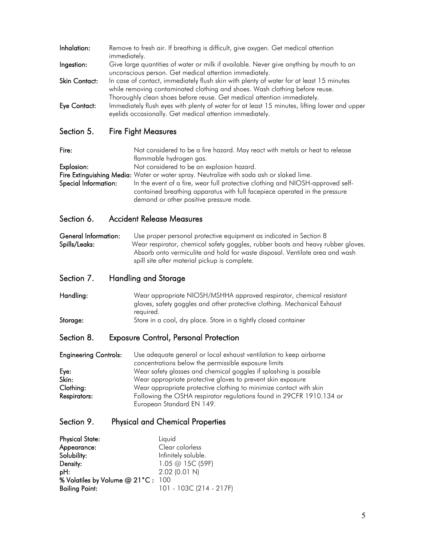| while removing contaminated clothing and shoes. Wash clothing before reuse.                                                                                                                                                                         |  |
|-----------------------------------------------------------------------------------------------------------------------------------------------------------------------------------------------------------------------------------------------------|--|
| Thoroughly clean shoes before reuse. Get medical attention immediately.<br>Immediately flush eyes with plenty of water for at least 15 minutes, lifting lower and upper<br>Eye Contact:<br>eyelids occasionally. Get medical attention immediately. |  |

Fire: Not considered to be a fire hazard. May react with metals or heat to release flammable hydrogen gas.

Explosion: Not considered to be an explosion hazard.

Fire Extinguishing Media: Water or water spray. Neutralize with soda ash or slaked lime. Special Information: In the event of a fire, wear full protective clothing and NIOSH-approved selfcontained breathing apparatus with full facepiece operated in the pressure demand or other positive pressure mode.

### Section 6. Accident Release Measures

General Information: Use proper personal protective equipment as indicated in Section 8 Spills/Leaks: Wear respirator, chemical safety goggles, rubber boots and heavy rubber gloves. Absorb onto vermiculite and hold for waste disposal. Ventilate area and wash spill site after material pickup is complete.

### Section 7. Handling and Storage

Handling: Wear appropriate NIOSH/MSHHA approved respirator, chemical resistant gloves, safety goggles and other protective clothing. Mechanical Exhaust required. Storage: Store in a cool, dry place. Store in a tightly closed container

### Section 8. Exposure Control, Personal Protection

Engineering Controls: Use adequate general or local exhaust ventilation to keep airborne concentrations below the permissible exposure limits Eye: Wear safety glasses and chemical goggles if splashing is possible Skin: Wear appropriate protective gloves to prevent skin exposure Clothing: Wear appropriate protective clothing to minimize contact with skin **Respirators:** Following the OSHA respirator regulations found in 29CFR 1910.134 or European Standard EN 149.

### Section 9. Physical and Chemical Properties

| <b>Physical State:</b>            | Liquid                  |
|-----------------------------------|-------------------------|
| Appearance:                       | Clear colorless         |
| Solubility:                       | Infinitely soluble.     |
| Density:                          | 1.05 @ 15C (59F)        |
| pH:                               | $2.02$ (0.01 N)         |
| % Volatiles by Volume @ 21°C: 100 |                         |
| <b>Boiling Point:</b>             | 101 - 103C (214 - 217F) |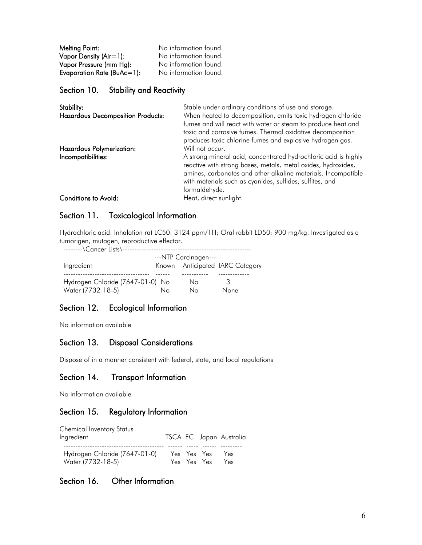Melting Point: No information found. Vapor Density (Air=1): No information found. Vapor Pressure (mm Hg): No information found. Evaporation Rate (BuAc=1): No information found.

Section 10. Stability and Reactivity

| Stability:<br><b>Hazardous Decomposition Products:</b> | Stable under ordinary conditions of use and storage.<br>When heated to decomposition, emits toxic hydrogen chloride<br>fumes and will react with water or steam to produce heat and<br>toxic and corrosive fumes. Thermal oxidative decomposition<br>produces toxic chlorine fumes and explosive hydrogen gas. |
|--------------------------------------------------------|----------------------------------------------------------------------------------------------------------------------------------------------------------------------------------------------------------------------------------------------------------------------------------------------------------------|
| Hazardous Polymerization:<br>Incompatibilities:        | Will not occur.<br>A strong mineral acid, concentrated hydrochloric acid is highly<br>reactive with strong bases, metals, metal oxides, hydroxides,<br>amines, carbonates and other alkaline materials. Incompatible<br>with materials such as cyanides, sulfides, sulfites, and<br>formaldehyde.              |
| <b>Conditions to Avoid:</b>                            | Heat, direct sunlight.                                                                                                                                                                                                                                                                                         |

### Section 11. Toxicological Information

Hydrochloric acid: Inhalation rat LC50: 3124 ppm/1H; Oral rabbit LD50: 900 mg/kg. Investigated as a tumorigen, mutagen, reproductive effector.

| --------\Cancer Lists\--         |    |                                 |             |  |
|----------------------------------|----|---------------------------------|-------------|--|
| ---NTP Carcinogen---             |    |                                 |             |  |
| Ingredient                       |    | Known Anticipated IARC Category |             |  |
|                                  |    |                                 |             |  |
| Hydrogen Chloride (7647-01-0) No |    | No                              | З           |  |
| Water (7732-18-5)                | Nο | Nο                              | <b>None</b> |  |

## Section 12. Ecological Information

No information available

### Section 13. Disposal Considerations

Dispose of in a manner consistent with federal, state, and local regulations

### Section 14. Transport Information

No information available

### Section 15. Regulatory Information

| <b>Chemical Inventory Status</b>                   |  |                            |                         |
|----------------------------------------------------|--|----------------------------|-------------------------|
| Ingredient                                         |  |                            | TSCA EC Japan Australia |
| Hydrogen Chloride (7647-01-0)<br>Water (7732-18-5) |  | Yes Yes Yes<br>Yes Yes Yes | Yes<br>Yes              |

### Section 16. Other Information